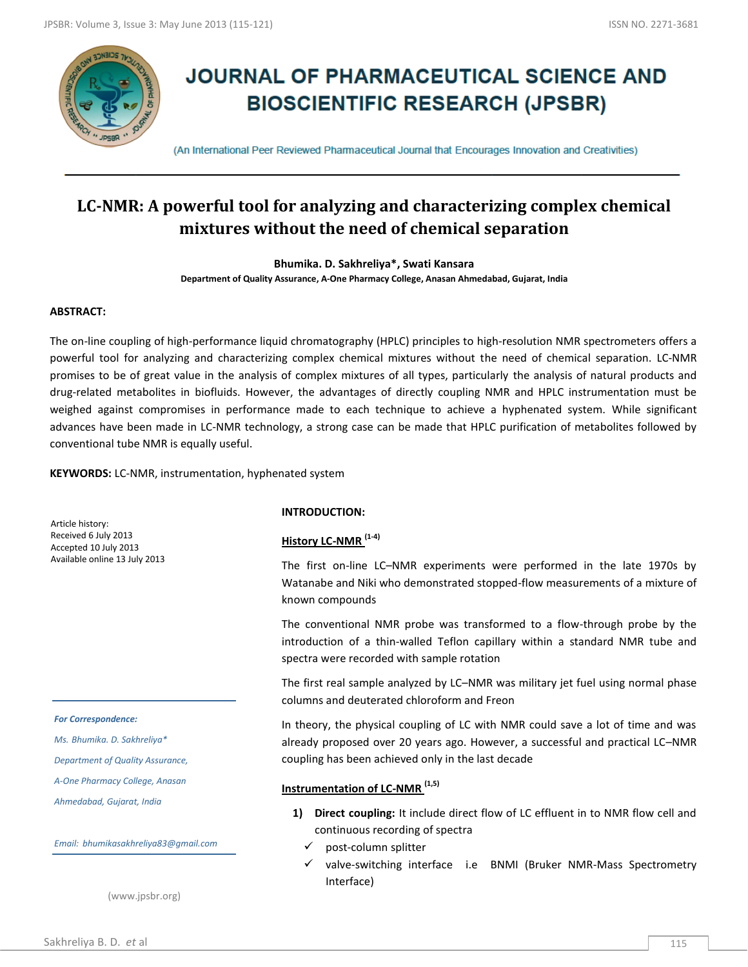

# **JOURNAL OF PHARMACEUTICAL SCIENCE AND BIOSCIENTIFIC RESEARCH (JPSBR)**

(An International Peer Reviewed Pharmaceutical Journal that Encourages Innovation and Creativities)

## **LC-NMR: A powerful tool for analyzing and characterizing complex chemical mixtures without the need of chemical separation**

**Bhumika. D. Sakhreliya\*, Swati Kansara Department of Quality Assurance, A-One Pharmacy College, Anasan Ahmedabad, Gujarat, India**

## **ABSTRACT:**

The on-line coupling of high-performance liquid chromatography (HPLC) principles to high-resolution NMR spectrometers offers a powerful tool for analyzing and characterizing complex chemical mixtures without the need of chemical separation. LC-NMR promises to be of great value in the analysis of complex mixtures of all types, particularly the analysis of natural products and drug-related metabolites in biofluids. However, the advantages of directly coupling NMR and HPLC instrumentation must be weighed against compromises in performance made to each technique to achieve a hyphenated system. While significant advances have been made in LC-NMR technology, a strong case can be made that HPLC purification of metabolites followed by conventional tube NMR is equally useful.

**KEYWORDS:** LC-NMR, instrumentation, hyphenated system

Article history: Received 6 July 2013 Accepted 10 July 2013 Available online 13 July 2013

#### *For Correspondence:*

*Ms. Bhumika. D. Sakhreliya\**

*Department of Quality Assurance,* 

*A-One Pharmacy College, Anasan* 

*Ahmedabad, Gujarat, India*

*Email: bhumikasakhreliya83@gmail.com*

(www.jpsbr.org)

#### **INTRODUCTION:**

## **History LC-NMR (1-4)**

The first on-line LC–NMR experiments were performed in the late 1970s by Watanabe and Niki who demonstrated stopped-flow measurements of a mixture of known compounds

The conventional NMR probe was transformed to a flow-through probe by the introduction of a thin-walled Teflon capillary within a standard NMR tube and spectra were recorded with sample rotation

The first real sample analyzed by LC–NMR was military jet fuel using normal phase columns and deuterated chloroform and Freon

In theory, the physical coupling of LC with NMR could save a lot of time and was already proposed over 20 years ago. However, a successful and practical LC–NMR coupling has been achieved only in the last decade

## **Instrumentation of LC-NMR (1,5)**

- **1) Direct coupling:** It include direct flow of LC effluent in to NMR flow cell and continuous recording of spectra
	- post-column splitter
	- valve-switching interface i.e BNMI (Bruker NMR-Mass Spectrometry Interface)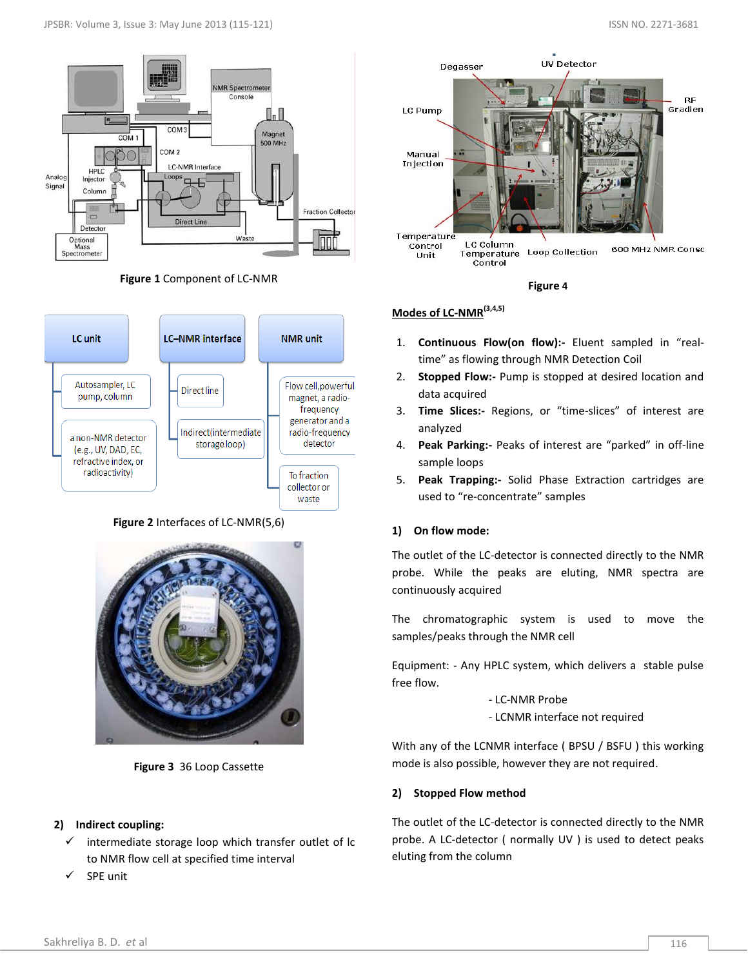





**Figure 2** Interfaces of LC-NMR(5,6)



**Figure 3** 36 Loop Cassette

## **2) Indirect coupling:**

- $\checkmark$  intermediate storage loop which transfer outlet of lc to NMR flow cell at specified time interval
- SPE unit



**Figure 4**

## **Modes of LC-NMR(3,4,5)**

- 1. **Continuous Flow(on flow):-** Eluent sampled in "realtime" as flowing through NMR Detection Coil
- 2. **Stopped Flow:-** Pump is stopped at desired location and data acquired
- 3. **Time Slices:-** Regions, or "time-slices" of interest are analyzed
- 4. **Peak Parking:-** Peaks of interest are "parked" in off-line sample loops
- 5. **Peak Trapping:-** Solid Phase Extraction cartridges are used to "re-concentrate" samples

## **1) On flow mode:**

The outlet of the LC-detector is connected directly to the NMR probe. While the peaks are eluting, NMR spectra are continuously acquired

The chromatographic system is used to move the samples/peaks through the NMR cell

Equipment: - Any HPLC system, which delivers a stable pulse free flow.

- LC-NMR Probe

- LCNMR interface not required

With any of the LCNMR interface ( BPSU / BSFU ) this working mode is also possible, however they are not required.

## **2) Stopped Flow method**

The outlet of the LC-detector is connected directly to the NMR probe. A LC-detector ( normally UV ) is used to detect peaks eluting from the column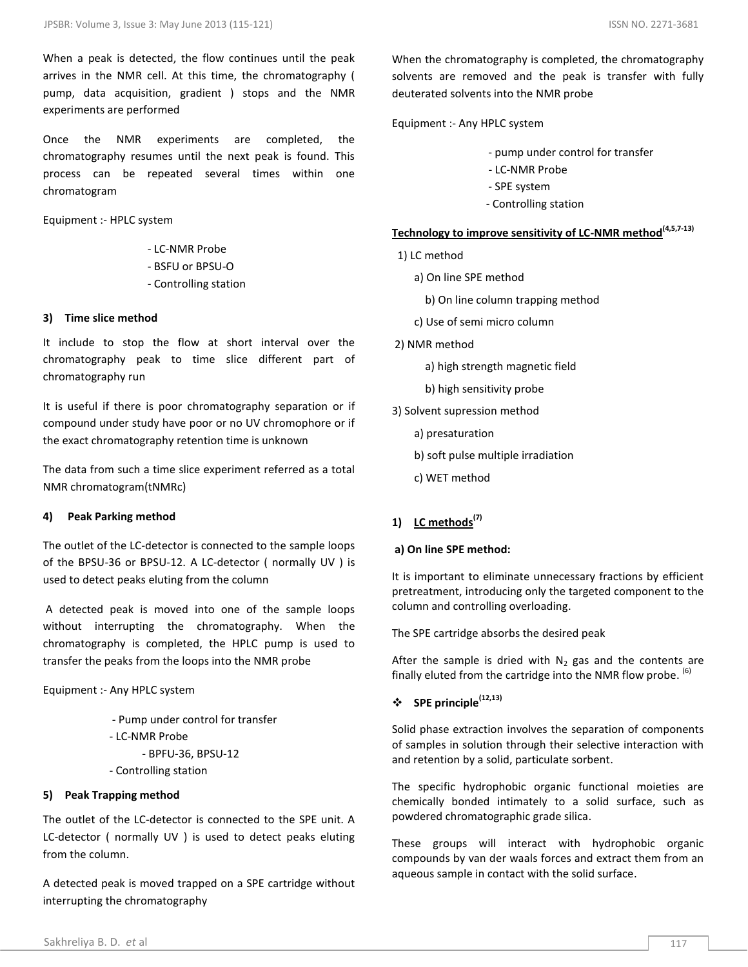When a peak is detected, the flow continues until the peak arrives in the NMR cell. At this time, the chromatography ( pump, data acquisition, gradient ) stops and the NMR experiments are performed

Once the NMR experiments are completed, the chromatography resumes until the next peak is found. This process can be repeated several times within one chromatogram

Equipment :- HPLC system

- LC-NMR Probe
- BSFU or BPSU-O
- Controlling station

#### **3) Time slice method**

It include to stop the flow at short interval over the chromatography peak to time slice different part of chromatography run

It is useful if there is poor chromatography separation or if compound under study have poor or no UV chromophore or if the exact chromatography retention time is unknown

The data from such a time slice experiment referred as a total NMR chromatogram(tNMRc)

#### **4) Peak Parking method**

The outlet of the LC-detector is connected to the sample loops of the BPSU-36 or BPSU-12. A LC-detector ( normally UV ) is used to detect peaks eluting from the column

A detected peak is moved into one of the sample loops without interrupting the chromatography. When the chromatography is completed, the HPLC pump is used to transfer the peaks from the loops into the NMR probe

Equipment :- Any HPLC system

 - Pump under control for transfer - LC-NMR Probe - BPFU-36, BPSU-12 - Controlling station

#### **5) Peak Trapping method**

The outlet of the LC-detector is connected to the SPE unit. A LC-detector ( normally UV ) is used to detect peaks eluting from the column.

A detected peak is moved trapped on a SPE cartridge without interrupting the chromatography

When the chromatography is completed, the chromatography solvents are removed and the peak is transfer with fully deuterated solvents into the NMR probe

Equipment :- Any HPLC system

- pump under control for transfer

- LC-NMR Probe
- SPE system
- Controlling station

## **Technology to improve sensitivity of LC-NMR method(4,5,7-13)**

- 1) LC method
	- a) On line SPE method
		- b) On line column trapping method
	- c) Use of semi micro column
- 2) NMR method
	- a) high strength magnetic field
	- b) high sensitivity probe
- 3) Solvent supression method
	- a) presaturation
	- b) soft pulse multiple irradiation
	- c) WET method

## **1) LC methods(7)**

#### **a) On line SPE method:**

It is important to eliminate unnecessary fractions by efficient pretreatment, introducing only the targeted component to the column and controlling overloading.

The SPE cartridge absorbs the desired peak

After the sample is dried with  $N_2$  gas and the contents are finally eluted from the cartridge into the NMR flow probe. <sup>(6)</sup>

## **SPE principle(12,13)**

Solid phase extraction involves the separation of components of samples in solution through their selective interaction with and retention by a solid, particulate sorbent.

The specific hydrophobic organic functional moieties are chemically bonded intimately to a solid surface, such as powdered chromatographic grade silica.

These groups will interact with hydrophobic organic compounds by van der waals forces and extract them from an aqueous sample in contact with the solid surface.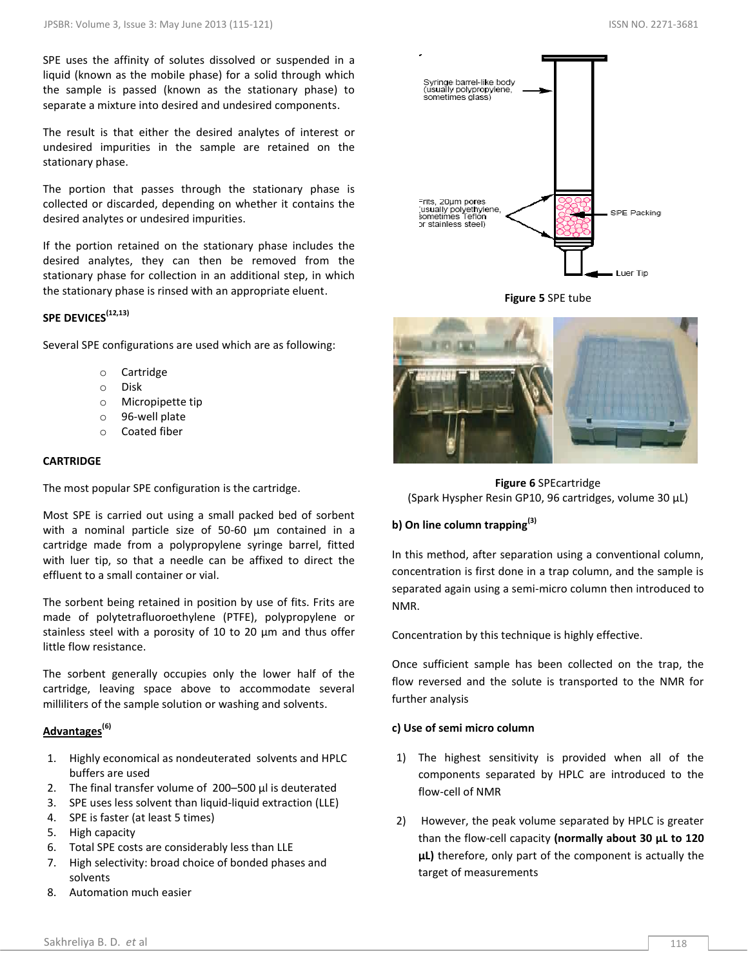SPE uses the affinity of solutes dissolved or suspended in a liquid (known as the mobile phase) for a solid through which the sample is passed (known as the stationary phase) to separate a mixture into desired and undesired components.

The result is that either the desired analytes of interest or undesired impurities in the sample are retained on the stationary phase.

The portion that passes through the stationary phase is collected or discarded, depending on whether it contains the desired analytes or undesired impurities.

If the portion retained on the stationary phase includes the desired analytes, they can then be removed from the stationary phase for collection in an additional step, in which the stationary phase is rinsed with an appropriate eluent.

## **SPE DEVICES(12,13)**

Several SPE configurations are used which are as following:

- o Cartridge
- o Disk
- o Micropipette tip
- o 96-well plate
- o Coated fiber

#### **CARTRIDGE**

The most popular SPE configuration is the cartridge.

Most SPE is carried out using a small packed bed of sorbent with a nominal particle size of 50-60 µm contained in a cartridge made from a polypropylene syringe barrel, fitted with luer tip, so that a needle can be affixed to direct the effluent to a small container or vial.

The sorbent being retained in position by use of fits. Frits are made of polytetrafluoroethylene (PTFE), polypropylene or stainless steel with a porosity of 10 to 20 µm and thus offer little flow resistance.

The sorbent generally occupies only the lower half of the cartridge, leaving space above to accommodate several milliliters of the sample solution or washing and solvents.

## **Advantages(6)**

- 1. Highly economical as nondeuterated solvents and HPLC buffers are used
- 2. The final transfer volume of 200–500 μl is deuterated
- 3. SPE uses less solvent than liquid-liquid extraction (LLE)
- 4. SPE is faster (at least 5 times)
- 5. High capacity
- 6. Total SPE costs are considerably less than LLE
- 7. High selectivity: broad choice of bonded phases and solvents
- 8. Automation much easier

Syringe barrel-like body<br>(usually polypropylene,<br>sometimes glass) Frits, 20um pores this, zount porce<br>(usually polyethylene,<br>sometimes Teflon SPE Packing or stainless steel) Luer Tip

**Figure 5** SPE tube



**Figure 6** SPEcartridge (Spark Hyspher Resin GP10, 96 cartridges, volume 30 μL)

## **b) On line column trapping(3)**

In this method, after separation using a conventional column, concentration is first done in a trap column, and the sample is separated again using a semi-micro column then introduced to NMR.

Concentration by this technique is highly effective.

Once sufficient sample has been collected on the trap, the flow reversed and the solute is transported to the NMR for further analysis

#### **c) Use of semi micro column**

- 1) The highest sensitivity is provided when all of the components separated by HPLC are introduced to the flow-cell of NMR
- 2) However, the peak volume separated by HPLC is greater than the flow-cell capacity **(normally about 30 μL to 120 μL)** therefore, only part of the component is actually the target of measurements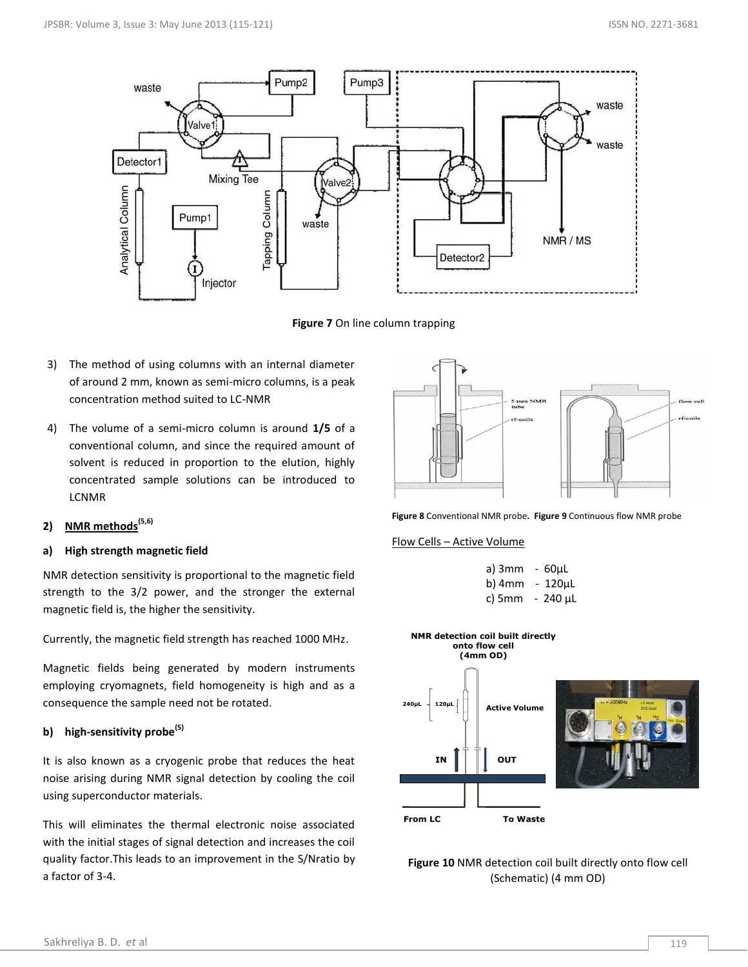

**Figure 7** On line column trapping

- 3) The method of using columns with an internal diameter of around 2 mm, known as semi-micro columns, is a peak concentration method suited to LC-NMR
- 4) The volume of a semi-micro column is around **1/5** of a conventional column, and since the required amount of solvent is reduced in proportion to the elution, highly concentrated sample solutions can be introduced to LCNMR
- **2) NMR methods(5,6)**

#### **a) High strength magnetic field**

NMR detection sensitivity is proportional to the magnetic field strength to the 3/2 power, and the stronger the external magnetic field is, the higher the sensitivity.

Currently, the magnetic field strength has reached 1000 MHz.

Magnetic fields being generated by modern instruments employing cryomagnets, field homogeneity is high and as a consequence the sample need not be rotated.

## **b) high-sensitivity probe(5)**

It is also known as a cryogenic probe that reduces the heat noise arising during NMR signal detection by cooling the coil using superconductor materials.

This will eliminates the thermal electronic noise associated with the initial stages of signal detection and increases the coil quality factor.This leads to an improvement in the S/Nratio by a factor of 3-4.



**Figure 8** Conventional NMR probe**. Figure 9** Continuous flow NMR probe

#### Flow Cells – Active Volume

| a) $3mm - 60uL$ |                      |
|-----------------|----------------------|
|                 | b) $4mm - 120 \mu L$ |
|                 | c) 5mm $-240 \mu L$  |



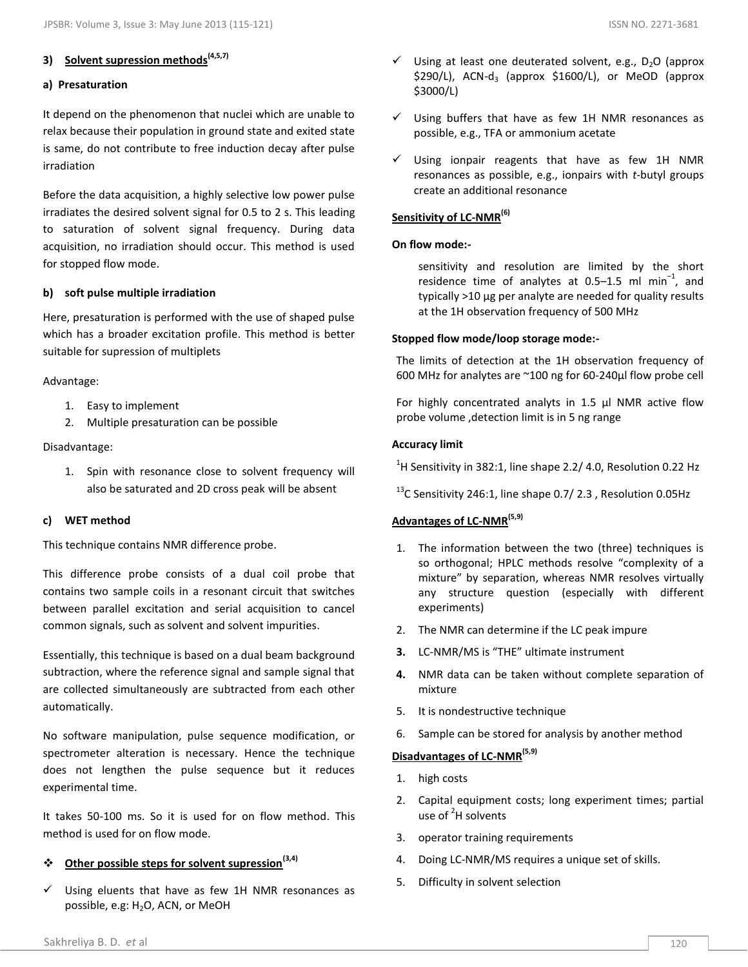## **3) Solvent supression methods(4,5,7)**

## **a) Presaturation**

It depend on the phenomenon that nuclei which are unable to relax because their population in ground state and exited state is same, do not contribute to free induction decay after pulse irradiation

Before the data acquisition, a highly selective low power pulse irradiates the desired solvent signal for 0.5 to 2 s. This leading to saturation of solvent signal frequency. During data acquisition, no irradiation should occur. This method is used for stopped flow mode.

## **b) soft pulse multiple irradiation**

Here, presaturation is performed with the use of shaped pulse which has a broader excitation profile. This method is better suitable for supression of multiplets

#### Advantage:

- 1. Easy to implement
- 2. Multiple presaturation can be possible

## Disadvantage:

1. Spin with resonance close to solvent frequency will also be saturated and 2D cross peak will be absent

## **c) WET method**

This technique contains NMR difference probe.

This difference probe consists of a dual coil probe that contains two sample coils in a resonant circuit that switches between parallel excitation and serial acquisition to cancel common signals, such as solvent and solvent impurities.

Essentially, this technique is based on a dual beam background subtraction, where the reference signal and sample signal that are collected simultaneously are subtracted from each other automatically.

No software manipulation, pulse sequence modification, or spectrometer alteration is necessary. Hence the technique does not lengthen the pulse sequence but it reduces experimental time.

It takes 50-100 ms. So it is used for on flow method. This method is used for on flow mode.

## **Other possible steps for solvent supression(3,4)**

 Using eluents that have as few 1H NMR resonances as possible, e.g: H<sub>2</sub>O, ACN, or MeOH

- $\checkmark$  Using at least one deuterated solvent, e.g., D<sub>2</sub>O (approx  $$290/L$ ), ACN-d<sub>3</sub> (approx  $$1600/L$ ), or MeOD (approx \$3000/L)
- $\checkmark$  Using buffers that have as few 1H NMR resonances as possible, e.g., TFA or ammonium acetate
- $\checkmark$  Using ionpair reagents that have as few 1H NMR resonances as possible, e.g., ionpairs with *t*-butyl groups create an additional resonance

## **Sensitivity of LC-NMR(6)**

#### **On flow mode:-**

sensitivity and resolution are limited by the short residence time of analytes at 0.5–1.5 ml min<sup>-1</sup>, and typically >10 μg per analyte are needed for quality results at the 1H observation frequency of 500 MHz

#### **Stopped flow mode/loop storage mode:-**

The limits of detection at the 1H observation frequency of 600 MHz for analytes are ~100 ng for 60-240µl flow probe cell

For highly concentrated analyts in 1.5 µl NMR active flow probe volume ,detection limit is in 5 ng range

#### **Accuracy limit**

 $^{1}$ H Sensitivity in 382:1, line shape 2.2/ 4.0, Resolution 0.22 Hz

 $^{13}$ C Sensitivity 246:1, line shape 0.7/ 2.3, Resolution 0.05Hz

## **Advantages of LC-NMR(5,9)**

- 1. The information between the two (three) techniques is so orthogonal; HPLC methods resolve "complexity of a mixture" by separation, whereas NMR resolves virtually any structure question (especially with different experiments)
- 2. The NMR can determine if the LC peak impure
- **3.** LC-NMR/MS is "THE" ultimate instrument
- **4.** NMR data can be taken without complete separation of mixture
- 5. It is nondestructive technique
- 6. Sample can be stored for analysis by another method

## **Disadvantages of LC-NMR(5,9)**

- 1. high costs
- 2. Capital equipment costs; long experiment times; partial use of <sup>2</sup>H solvents
- 3. operator training requirements
- 4. Doing LC-NMR/MS requires a unique set of skills.
- 5. Difficulty in solvent selection